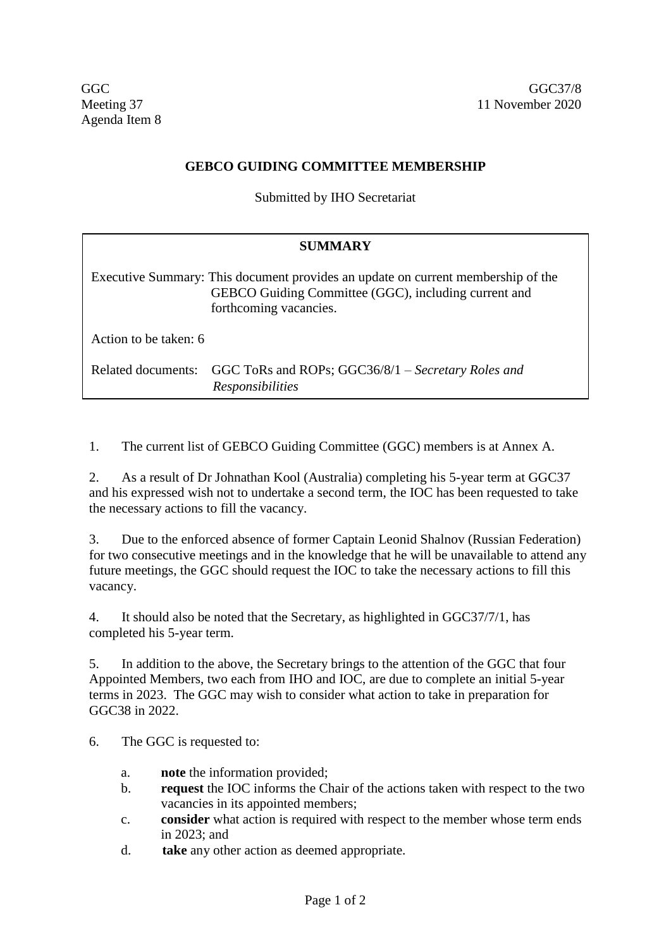## **GEBCO GUIDING COMMITTEE MEMBERSHIP**

Submitted by IHO Secretariat

### **SUMMARY**

Executive Summary: This document provides an update on current membership of the GEBCO Guiding Committee (GGC), including current and forthcoming vacancies.

Action to be taken: 6

Related documents: GGC ToRs and ROPs; GGC36/8/1 – *Secretary Roles and Responsibilities*

1. The current list of GEBCO Guiding Committee (GGC) members is at Annex A.

2. As a result of Dr Johnathan Kool (Australia) completing his 5-year term at GGC37 and his expressed wish not to undertake a second term, the IOC has been requested to take the necessary actions to fill the vacancy.

3. Due to the enforced absence of former Captain Leonid Shalnov (Russian Federation) for two consecutive meetings and in the knowledge that he will be unavailable to attend any future meetings, the GGC should request the IOC to take the necessary actions to fill this vacancy.

4. It should also be noted that the Secretary, as highlighted in GGC37/7/1, has completed his 5-year term.

5. In addition to the above, the Secretary brings to the attention of the GGC that four Appointed Members, two each from IHO and IOC, are due to complete an initial 5-year terms in 2023. The GGC may wish to consider what action to take in preparation for GGC38 in 2022.

6. The GGC is requested to:

- a. **note** the information provided;
- b. **request** the IOC informs the Chair of the actions taken with respect to the two vacancies in its appointed members;
- c. **consider** what action is required with respect to the member whose term ends in 2023; and
- d. **take** any other action as deemed appropriate.